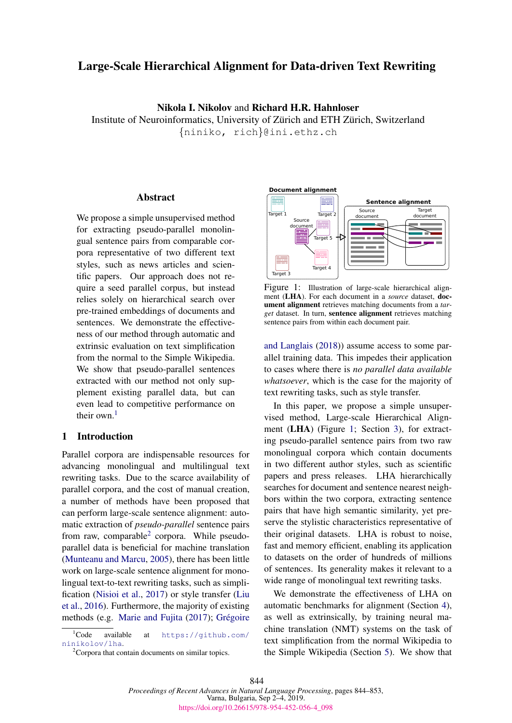# Large-Scale Hierarchical Alignment for Data-driven Text Rewriting

Nikola I. Nikolov and Richard H.R. Hahnloser

Institute of Neuroinformatics, University of Zürich and ETH Zürich, Switzerland {niniko, rich}@ini.ethz.ch

### Abstract

We propose a simple unsupervised method for extracting pseudo-parallel monolingual sentence pairs from comparable corpora representative of two different text styles, such as news articles and scientific papers. Our approach does not require a seed parallel corpus, but instead relies solely on hierarchical search over pre-trained embeddings of documents and sentences. We demonstrate the effectiveness of our method through automatic and extrinsic evaluation on text simplification from the normal to the Simple Wikipedia. We show that pseudo-parallel sentences extracted with our method not only supplement existing parallel data, but can even lead to competitive performance on their own  $<sup>1</sup>$  $<sup>1</sup>$  $<sup>1</sup>$ </sup>

## 1 Introduction

Parallel corpora are indispensable resources for advancing monolingual and multilingual text rewriting tasks. Due to the scarce availability of parallel corpora, and the cost of manual creation, a number of methods have been proposed that can perform large-scale sentence alignment: automatic extraction of *pseudo-parallel* sentence pairs from raw, comparable<sup>[2](#page-0-1)</sup> corpora. While pseudoparallel data is beneficial for machine translation [\(Munteanu and Marcu,](#page-8-0) [2005\)](#page-8-0), there has been little work on large-scale sentence alignment for monolingual text-to-text rewriting tasks, such as simplification [\(Nisioi et al.,](#page-8-1) [2017\)](#page-8-1) or style transfer [\(Liu](#page-8-2) [et al.,](#page-8-2) [2016\)](#page-8-2). Furthermore, the majority of existing methods (e.g. [Marie and Fujita](#page-8-3) [\(2017\)](#page-8-3); Grégoire

<span id="page-0-2"></span>

Figure 1: Illustration of large-scale hierarchical alignment (LHA). For each document in a *source* dataset, document alignment retrieves matching documents from a *target* dataset. In turn, sentence alignment retrieves matching sentence pairs from within each document pair.

[and Langlais](#page-8-4) [\(2018\)](#page-8-4)) assume access to some parallel training data. This impedes their application to cases where there is *no parallel data available whatsoever*, which is the case for the majority of text rewriting tasks, such as style transfer.

In this paper, we propose a simple unsupervised method, Large-scale Hierarchical Alignment (LHA) (Figure [1;](#page-0-2) Section [3\)](#page-1-0), for extracting pseudo-parallel sentence pairs from two raw monolingual corpora which contain documents in two different author styles, such as scientific papers and press releases. LHA hierarchically searches for document and sentence nearest neighbors within the two corpora, extracting sentence pairs that have high semantic similarity, yet preserve the stylistic characteristics representative of their original datasets. LHA is robust to noise, fast and memory efficient, enabling its application to datasets on the order of hundreds of millions of sentences. Its generality makes it relevant to a wide range of monolingual text rewriting tasks.

We demonstrate the effectiveness of LHA on automatic benchmarks for alignment (Section [4\)](#page-3-0), as well as extrinsically, by training neural machine translation (NMT) systems on the task of text simplification from the normal Wikipedia to the Simple Wikipedia (Section [5\)](#page-4-0). We show that

<span id="page-0-0"></span><sup>1</sup>Code available at [https://github.com/](#page-8-4) [ninikolov/lha](#page-8-4).

<span id="page-0-1"></span><sup>&</sup>lt;sup>2</sup>[Corpora that contain documents on similar topics.](#page-8-4)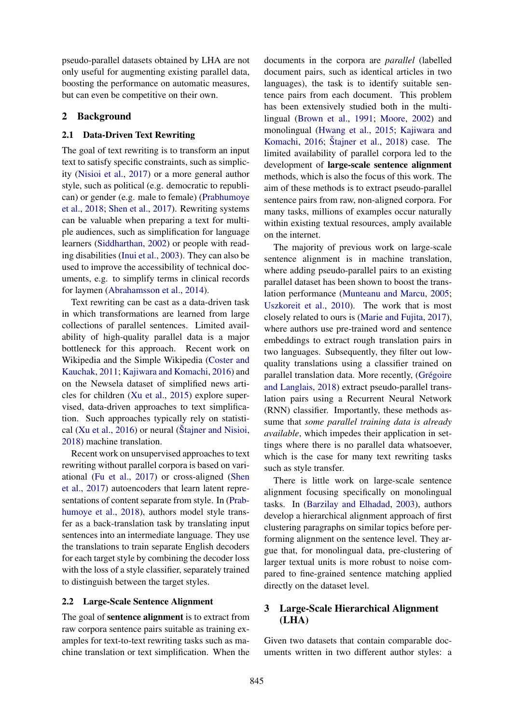pseudo-parallel datasets obtained by LHA are not only useful for augmenting existing parallel data, boosting the performance on automatic measures, but can even be competitive on their own.

## 2 Background

### 2.1 Data-Driven Text Rewriting

The goal of text rewriting is to transform an input text to satisfy specific constraints, such as simplicity [\(Nisioi et al.,](#page-8-1) [2017\)](#page-8-1) or a more general author style, such as political (e.g. democratic to republican) or gender (e.g. male to female) [\(Prabhumoye](#page-9-0) [et al.,](#page-9-0) [2018;](#page-9-0) [Shen et al.,](#page-9-1) [2017\)](#page-9-1). Rewriting systems can be valuable when preparing a text for multiple audiences, such as simplification for language learners [\(Siddharthan,](#page-9-2) [2002\)](#page-9-2) or people with reading disabilities [\(Inui et al.,](#page-8-5) [2003\)](#page-8-5). They can also be used to improve the accessibility of technical documents, e.g. to simplify terms in clinical records for laymen [\(Abrahamsson et al.,](#page-8-6) [2014\)](#page-8-6).

Text rewriting can be cast as a data-driven task in which transformations are learned from large collections of parallel sentences. Limited availability of high-quality parallel data is a major bottleneck for this approach. Recent work on Wikipedia and the Simple Wikipedia [\(Coster and](#page-8-7) [Kauchak,](#page-8-7) [2011;](#page-8-7) [Kajiwara and Komachi,](#page-8-8) [2016\)](#page-8-8) and on the Newsela dataset of simplified news articles for children [\(Xu et al.,](#page-9-3) [2015\)](#page-9-3) explore supervised, data-driven approaches to text simplification. Such approaches typically rely on statisti-cal [\(Xu et al.,](#page-9-4)  $2016$ ) or neural [\(Stajner and Nisioi](#page-9-5), [2018\)](#page-9-5) machine translation.

Recent work on unsupervised approaches to text rewriting without parallel corpora is based on variational [\(Fu et al.,](#page-8-9) [2017\)](#page-8-9) or cross-aligned [\(Shen](#page-9-1) [et al.,](#page-9-1) [2017\)](#page-9-1) autoencoders that learn latent representations of content separate from style. In [\(Prab](#page-9-0)[humoye et al.,](#page-9-0) [2018\)](#page-9-0), authors model style transfer as a back-translation task by translating input sentences into an intermediate language. They use the translations to train separate English decoders for each target style by combining the decoder loss with the loss of a style classifier, separately trained to distinguish between the target styles.

### 2.2 Large-Scale Sentence Alignment

The goal of **sentence alignment** is to extract from raw corpora sentence pairs suitable as training examples for text-to-text rewriting tasks such as machine translation or text simplification. When the

documents in the corpora are *parallel* (labelled document pairs, such as identical articles in two languages), the task is to identify suitable sentence pairs from each document. This problem has been extensively studied both in the multilingual [\(Brown et al.,](#page-8-10) [1991;](#page-8-10) [Moore,](#page-8-11) [2002\)](#page-8-11) and monolingual [\(Hwang et al.,](#page-8-12) [2015;](#page-8-12) [Kajiwara and](#page-8-8) [Komachi,](#page-8-8) [2016;](#page-8-8) Štajner et al., [2018\)](#page-9-6) case. The limited availability of parallel corpora led to the development of large-scale sentence alignment methods, which is also the focus of this work. The aim of these methods is to extract pseudo-parallel sentence pairs from raw, non-aligned corpora. For many tasks, millions of examples occur naturally within existing textual resources, amply available on the internet.

The majority of previous work on large-scale sentence alignment is in machine translation, where adding pseudo-parallel pairs to an existing parallel dataset has been shown to boost the translation performance [\(Munteanu and Marcu,](#page-8-0) [2005;](#page-8-0) [Uszkoreit et al.,](#page-9-7) [2010\)](#page-9-7). The work that is most closely related to ours is [\(Marie and Fujita,](#page-8-3) [2017\)](#page-8-3), where authors use pre-trained word and sentence embeddings to extract rough translation pairs in two languages. Subsequently, they filter out lowquality translations using a classifier trained on parallel translation data. More recently, (Grégoire [and Langlais,](#page-8-4) [2018\)](#page-8-4) extract pseudo-parallel translation pairs using a Recurrent Neural Network (RNN) classifier. Importantly, these methods assume that *some parallel training data is already available*, which impedes their application in settings where there is no parallel data whatsoever, which is the case for many text rewriting tasks such as style transfer.

There is little work on large-scale sentence alignment focusing specifically on monolingual tasks. In [\(Barzilay and Elhadad,](#page-8-13) [2003\)](#page-8-13), authors develop a hierarchical alignment approach of first clustering paragraphs on similar topics before performing alignment on the sentence level. They argue that, for monolingual data, pre-clustering of larger textual units is more robust to noise compared to fine-grained sentence matching applied directly on the dataset level.

# <span id="page-1-0"></span>3 Large-Scale Hierarchical Alignment (LHA)

Given two datasets that contain comparable documents written in two different author styles: a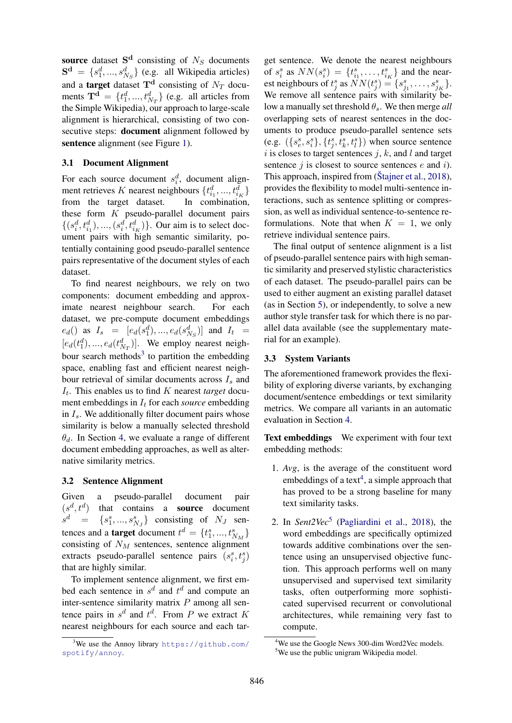source dataset  $S<sup>d</sup>$  consisting of  $N<sub>S</sub>$  documents  $S^d = \{s_1^d, ..., s_{N_S}^d\}$  (e.g. all Wikipedia articles) and a **target** dataset  $T<sup>d</sup>$  consisting of  $N_T$  documents  $\mathbf{T}^{\mathbf{d}} = \{t_1^d, ..., t_{N_T}^d\}$  (e.g. all articles from the Simple Wikipedia), our approach to large-scale alignment is hierarchical, consisting of two consecutive steps: **document** alignment followed by sentence alignment (see Figure [1\)](#page-0-2).

### 3.1 Document Alignment

For each source document  $s_i^d$ , document alignment retrieves K nearest neighbours  $\{t_{i_1}^d, ..., t_{i_K}^d\}$ from the target dataset. In combination, these form  $K$  pseudo-parallel document pairs  $\{(s_i^d, t_{i_1}^d), ..., (s_i^d, t_{i_K}^d)\}$ . Our aim is to select document pairs with high semantic similarity, potentially containing good pseudo-parallel sentence pairs representative of the document styles of each dataset.

To find nearest neighbours, we rely on two components: document embedding and approximate nearest neighbour search. For each dataset, we pre-compute document embeddings  $e_d()$  as  $I_s = [e_d(s_1^d), ..., e_d(s_{N_S}^d)]$  and  $I_t =$  $[e_d(t_1^d), ..., e_d(t_{N_T}^d)]$ . We employ nearest neigh-bour search methods<sup>[3](#page-2-0)</sup> to partition the embedding space, enabling fast and efficient nearest neighbour retrieval of similar documents across  $I_s$  and  $I_t$ . This enables us to find  $K$  nearest *target* document embeddings in  $I_t$  for each *source* embedding in  $I_s$ . We additionally filter document pairs whose similarity is below a manually selected threshold  $\theta_d$ . In Section [4,](#page-3-0) we evaluate a range of different document embedding approaches, as well as alternative similarity metrics.

#### 3.2 Sentence Alignment

Given a pseudo-parallel document pair  $(s^d, t^d)$ ) that contains a source document  $s^d = \{s$  $S_1^s, ..., S_{N_J}^s$  consisting of  $N_J$  sentences and a **target** document  $t^d = \{t_1^s, ..., t_{N_M}^s\}$ consisting of  $N_M$  sentences, sentence alignment extracts pseudo-parallel sentence pairs  $(s_i^s, t_j^s)$ that are highly similar.

To implement sentence alignment, we first embed each sentence in  $s^d$  and  $t^d$  and compute an inter-sentence similarity matrix  $P$  among all sentence pairs in  $s^d$  and  $t^d$ . From P we extract K nearest neighbours for each source and each tar-

get sentence. We denote the nearest neighbours of  $s_i^s$  as  $NN(s_i^s) = \{t_{i_1}^s, \ldots, t_{i_K}^s\}$  and the nearest neighbours of  $t_j^s$  as  $\overline{NN}(t_j^s) = \{s_{j_1}^s, \ldots, s_{j_K}^s\}.$ We remove all sentence pairs with similarity below a manually set threshold  $\theta_s$ . We then merge *all* overlapping sets of nearest sentences in the documents to produce pseudo-parallel sentence sets (e.g.  $({s_e^s, s_i^s}, {t_j^s, t_k^s, t_l^s})$ ) when source sentence  $i$  is closes to target sentences  $j, k$ , and l and target sentence  $j$  is closest to source sentences  $e$  and  $i$ ). This approach, inspired from  $(Štajner et al., 2018)$  $(Štajner et al., 2018)$ , provides the flexibility to model multi-sentence interactions, such as sentence splitting or compression, as well as individual sentence-to-sentence reformulations. Note that when  $K = 1$ , we only retrieve individual sentence pairs.

The final output of sentence alignment is a list of pseudo-parallel sentence pairs with high semantic similarity and preserved stylistic characteristics of each dataset. The pseudo-parallel pairs can be used to either augment an existing parallel dataset (as in Section [5\)](#page-4-0), or independently, to solve a new author style transfer task for which there is no parallel data available (see the supplementary material for an example).

### <span id="page-2-3"></span>3.3 System Variants

The aforementioned framework provides the flexibility of exploring diverse variants, by exchanging document/sentence embeddings or text similarity metrics. We compare all variants in an automatic evaluation in Section [4.](#page-3-0)

Text embeddings We experiment with four text embedding methods:

- 1. *Avg*, is the average of the constituent word embeddings of a text<sup>[4](#page-2-1)</sup>, a simple approach that has proved to be a strong baseline for many text similarity tasks.
- 2. In *Sent2Vec*[5](#page-2-2) [\(Pagliardini et al.,](#page-9-8) [2018\)](#page-9-8), the word embeddings are specifically optimized towards additive combinations over the sentence using an unsupervised objective function. This approach performs well on many unsupervised and supervised text similarity tasks, often outperforming more sophisticated supervised recurrent or convolutional architectures, while remaining very fast to compute.

<span id="page-2-0"></span><sup>&</sup>lt;sup>3</sup>We use the Annoy library [https://github.com/](https://github.com/spotify/annoy) [spotify/annoy](https://github.com/spotify/annoy).

<span id="page-2-1"></span><sup>&</sup>lt;sup>4</sup>We use the Google News 300-dim Word2Vec models.

<span id="page-2-2"></span><sup>&</sup>lt;sup>5</sup>We use the public unigram Wikipedia model.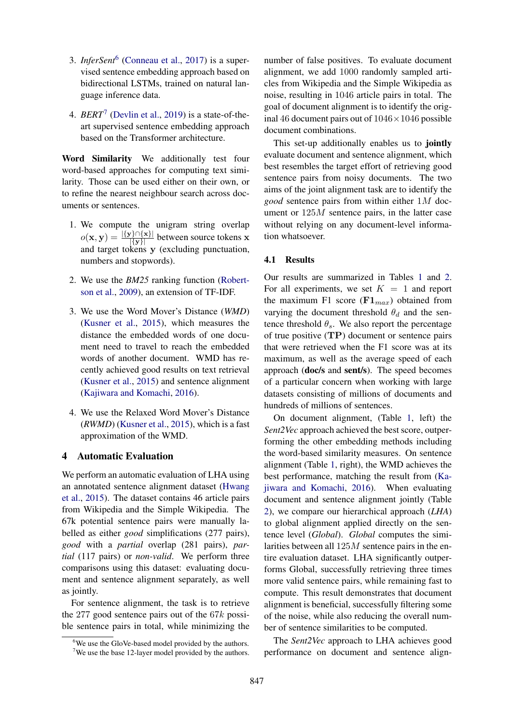- 3. *InferSent*[6](#page-3-1) [\(Conneau et al.,](#page-8-14) [2017\)](#page-8-14) is a supervised sentence embedding approach based on bidirectional LSTMs, trained on natural language inference data.
- 4.  $BERT<sup>7</sup>$  $BERT<sup>7</sup>$  $BERT<sup>7</sup>$  [\(Devlin et al.,](#page-8-15) [2019\)](#page-8-15) is a state-of-theart supervised sentence embedding approach based on the Transformer architecture.

Word Similarity We additionally test four word-based approaches for computing text similarity. Those can be used either on their own, or to refine the nearest neighbour search across documents or sentences.

- 1. We compute the unigram string overlap  $o(\mathbf{x}, \mathbf{y}) = \frac{|\{\mathbf{y}\} \cap \{\mathbf{x}\}|}{|\{\mathbf{y}\}|}$  between source tokens x and target tokens y (excluding punctuation, numbers and stopwords).
- 2. We use the *BM25* ranking function [\(Robert](#page-9-9)[son et al.,](#page-9-9) [2009\)](#page-9-9), an extension of TF-IDF.
- 3. We use the Word Mover's Distance (*WMD*) [\(Kusner et al.,](#page-8-16) [2015\)](#page-8-16), which measures the distance the embedded words of one document need to travel to reach the embedded words of another document. WMD has recently achieved good results on text retrieval [\(Kusner et al.,](#page-8-16) [2015\)](#page-8-16) and sentence alignment [\(Kajiwara and Komachi,](#page-8-8) [2016\)](#page-8-8).
- 4. We use the Relaxed Word Mover's Distance (*RWMD*) [\(Kusner et al.,](#page-8-16) [2015\)](#page-8-16), which is a fast approximation of the WMD.

## <span id="page-3-0"></span>4 Automatic Evaluation

We perform an automatic evaluation of LHA using an annotated sentence alignment dataset [\(Hwang](#page-8-12) [et al.,](#page-8-12) [2015\)](#page-8-12). The dataset contains 46 article pairs from Wikipedia and the Simple Wikipedia. The 67k potential sentence pairs were manually labelled as either *good* simplifications (277 pairs), *good* with a *partial* overlap (281 pairs), *partial* (117 pairs) or *non-valid*. We perform three comparisons using this dataset: evaluating document and sentence alignment separately, as well as jointly.

For sentence alignment, the task is to retrieve the 277 good sentence pairs out of the 67k possible sentence pairs in total, while minimizing the

number of false positives. To evaluate document alignment, we add 1000 randomly sampled articles from Wikipedia and the Simple Wikipedia as noise, resulting in 1046 article pairs in total. The goal of document alignment is to identify the original 46 document pairs out of  $1046 \times 1046$  possible document combinations.

This set-up additionally enables us to jointly evaluate document and sentence alignment, which best resembles the target effort of retrieving good sentence pairs from noisy documents. The two aims of the joint alignment task are to identify the *good* sentence pairs from within either 1M document or  $125M$  sentence pairs, in the latter case without relying on any document-level information whatsoever.

## 4.1 Results

Our results are summarized in Tables [1](#page-4-1) and [2.](#page-4-2) For all experiments, we set  $K = 1$  and report the maximum F1 score  $(Fl<sub>max</sub>)$  obtained from varying the document threshold  $\theta_d$  and the sentence threshold  $\theta_s$ . We also report the percentage of true positive (TP) document or sentence pairs that were retrieved when the F1 score was at its maximum, as well as the average speed of each approach (doc/s and sent/s). The speed becomes of a particular concern when working with large datasets consisting of millions of documents and hundreds of millions of sentences.

On document alignment, (Table [1,](#page-4-1) left) the *Sent2Vec* approach achieved the best score, outperforming the other embedding methods including the word-based similarity measures. On sentence alignment (Table [1,](#page-4-1) right), the WMD achieves the best performance, matching the result from [\(Ka](#page-8-8)[jiwara and Komachi,](#page-8-8) [2016\)](#page-8-8). When evaluating document and sentence alignment jointly (Table [2\)](#page-4-2), we compare our hierarchical approach (*LHA*) to global alignment applied directly on the sentence level (*Global*). *Global* computes the similarities between all  $125M$  sentence pairs in the entire evaluation dataset. LHA significantly outperforms Global, successfully retrieving three times more valid sentence pairs, while remaining fast to compute. This result demonstrates that document alignment is beneficial, successfully filtering some of the noise, while also reducing the overall number of sentence similarities to be computed.

The *Sent2Vec* approach to LHA achieves good performance on document and sentence align-

<span id="page-3-1"></span><sup>&</sup>lt;sup>6</sup>We use the GloVe-based model provided by the authors.

<span id="page-3-2"></span><sup>&</sup>lt;sup>7</sup>We use the base 12-layer model provided by the authors.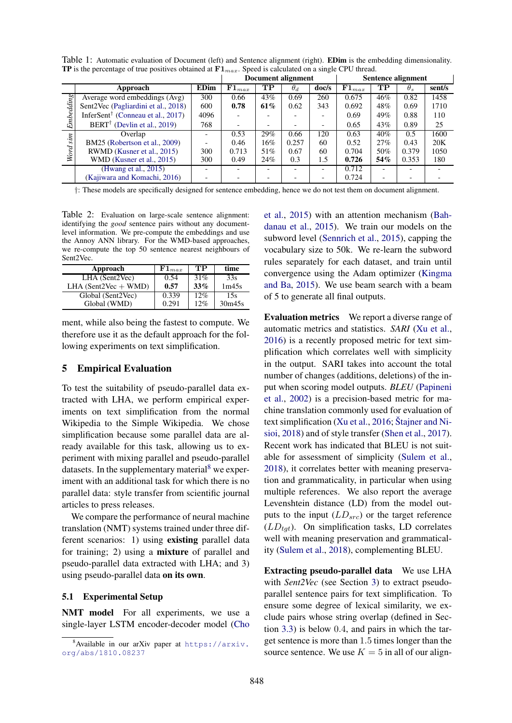|           |                                                                  |                          |                           |             | Document alignment       |       |                        |     | Sentence alignment |        |
|-----------|------------------------------------------------------------------|--------------------------|---------------------------|-------------|--------------------------|-------|------------------------|-----|--------------------|--------|
|           | Approach                                                         | <b>EDim</b>              | $\overline{\bf F1}_{max}$ | $_{\rm TP}$ | $\theta_d$               | doc/s | ${\bf \bar{F}}1_{max}$ | TP  | $\theta_{s}$       | sent/s |
|           | Average word embeddings (Avg)                                    | 300                      | 0.66                      | 43%         | 0.69                     | 260   | 0.675                  | 46% | 0.82               | 1458   |
|           | Sent2Vec (Pagliardini et al., 2018)                              | 600                      | 0.78                      | 61%         | 0.62                     | 343   | 0.692                  | 48% | 0.69               | 1710   |
| Embedding | InferSent <sup><math>\dagger</math></sup> (Conneau et al., 2017) | 4096                     |                           |             |                          |       | 0.69                   | 49% | 0.88               | 110    |
|           | $BERT†$ (Devlin et al., 2019)                                    | 768                      |                           | -           | $\overline{\phantom{0}}$ |       | 0.65                   | 43% | 0.89               | 25     |
| sim       | Overlap                                                          |                          | 0.53                      | 29%         | 0.66                     | 120   | 0.63                   | 40% | 0.5                | 1600   |
|           | BM25 (Robertson et al., 2009)                                    | $\overline{\phantom{a}}$ | 0.46                      | 16%         | 0.257                    | 60    | 0.52                   | 27% | 0.43               | 20K    |
| Word      | RWMD (Kusner et al., 2015)                                       | 300                      | 0.713                     | 51%         | 0.67                     | 60    | 0.704                  | 50% | 0.379              | 1050   |
|           | WMD (Kusner et al., 2015)                                        | 300                      | 0.49                      | 24%         | 0.3                      | 1.5   | 0.726                  | 54% | 0.353              | 180    |
|           | (Hwang et al., $2\overline{015}$ )                               |                          |                           |             |                          |       | 0.712                  |     |                    |        |
|           | (Kajiwara and Komachi, 2016)                                     |                          |                           |             | -                        |       | 0.724                  | -   |                    |        |

<span id="page-4-1"></span>Table 1: Automatic evaluation of Document (left) and Sentence alignment (right). **EDim** is the embedding dimensionality. **TP** is the percentage of true positives obtained at  $\mathbf{F1}_{max}$ . Speed is calculated on a single CPU thread.

†: These models are specifically designed for sentence embedding, hence we do not test them on document alignment.

<span id="page-4-2"></span>Table 2: Evaluation on large-scale sentence alignment: identifying the *good* sentence pairs without any documentlevel information. We pre-compute the embeddings and use the Annoy ANN library. For the WMD-based approaches, we re-compute the top 50 sentence nearest neighbours of Sent2Vec.

| Approach               | ${\bf F1}_{max}$ | TP  | time   |
|------------------------|------------------|-----|--------|
| LHA (Sent2Vec)         | 0.54             | 31% | 33s    |
| $LHA$ (Sent2Vec + WMD) | 0.57             | 33% | 1m45s  |
| Global (Sent2Vec)      | 0.339            | 12% | 15s    |
| Global (WMD)           | 0.291            | 12% | 30m45s |

ment, while also being the fastest to compute. We therefore use it as the default approach for the following experiments on text simplification.

### <span id="page-4-0"></span>5 Empirical Evaluation

To test the suitability of pseudo-parallel data extracted with LHA, we perform empirical experiments on text simplification from the normal Wikipedia to the Simple Wikipedia. We chose simplification because some parallel data are already available for this task, allowing us to experiment with mixing parallel and pseudo-parallel datasets. In the supplementary material<sup>[8](#page-4-3)</sup> we experiment with an additional task for which there is no parallel data: style transfer from scientific journal articles to press releases.

We compare the performance of neural machine translation (NMT) systems trained under three different scenarios: 1) using existing parallel data for training; 2) using a mixture of parallel and pseudo-parallel data extracted with LHA; and 3) using pseudo-parallel data on its own.

### 5.1 Experimental Setup

NMT model For all experiments, we use a single-layer LSTM encoder-decoder model [\(Cho](#page-8-17) [et al.,](#page-8-17) [2015\)](#page-8-17) with an attention mechanism [\(Bah](#page-8-18)[danau et al.,](#page-8-18) [2015\)](#page-8-18). We train our models on the subword level [\(Sennrich et al.,](#page-9-10) [2015\)](#page-9-10), capping the vocabulary size to 50k. We re-learn the subword rules separately for each dataset, and train until convergence using the Adam optimizer [\(Kingma](#page-8-19) [and Ba,](#page-8-19) [2015\)](#page-8-19). We use beam search with a beam of 5 to generate all final outputs.

Evaluation metrics We report a diverse range of automatic metrics and statistics. *SARI* [\(Xu et al.,](#page-9-4) [2016\)](#page-9-4) is a recently proposed metric for text simplification which correlates well with simplicity in the output. SARI takes into account the total number of changes (additions, deletions) of the input when scoring model outputs. *BLEU* [\(Papineni](#page-9-11) [et al.,](#page-9-11) [2002\)](#page-9-11) is a precision-based metric for machine translation commonly used for evaluation of text simplification [\(Xu et al.,](#page-9-4) [2016;](#page-9-4) Štajner and Ni[sioi,](#page-9-5) [2018\)](#page-9-5) and of style transfer [\(Shen et al.,](#page-9-1) [2017\)](#page-9-1). Recent work has indicated that BLEU is not suitable for assessment of simplicity [\(Sulem et al.,](#page-9-12) [2018\)](#page-9-12), it correlates better with meaning preservation and grammaticality, in particular when using multiple references. We also report the average Levenshtein distance (LD) from the model outputs to the input  $(LD_{src})$  or the target reference  $(LD_{tot})$ . On simplification tasks, LD correlates well with meaning preservation and grammaticality [\(Sulem et al.,](#page-9-12) [2018\)](#page-9-12), complementing BLEU.

Extracting pseudo-parallel data We use LHA with *Sent2Vec* (see Section [3\)](#page-1-0) to extract pseudoparallel sentence pairs for text simplification. To ensure some degree of lexical similarity, we exclude pairs whose string overlap (defined in Section [3.3\)](#page-2-3) is below 0.4, and pairs in which the target sentence is more than 1.5 times longer than the source sentence. We use  $K = 5$  in all of our align-

<span id="page-4-3"></span> $8$ [Available in our arXiv paper at](#page-8-17) [https://arxiv.](https://arxiv.org/abs/1810.08237) [org/abs/1810.08237](#page-8-17)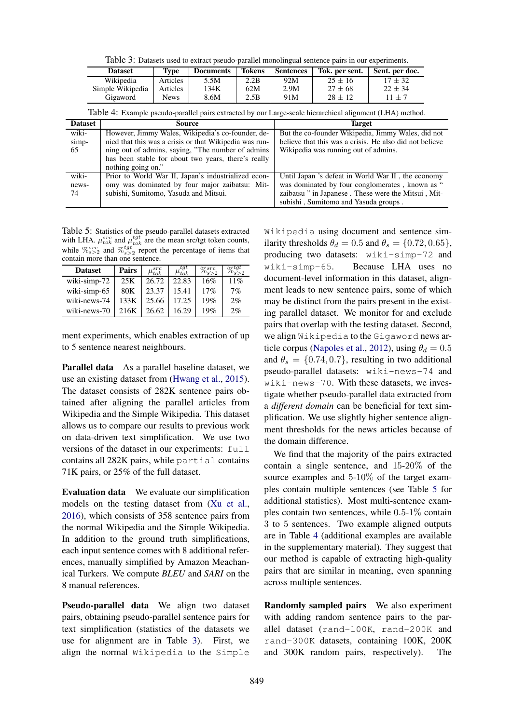Table 3: Datasets used to extract pseudo-parallel monolingual sentence pairs in our experiments.

<span id="page-5-0"></span>

| <b>Dataset</b>   | Type     | Documents | <b>Tokens</b> | <b>Sentences</b> | Tok. per sent. | Sent. per doc. |
|------------------|----------|-----------|---------------|------------------|----------------|----------------|
| Wikipedia        | Articles | 5.5M      | 2.2B          | 92M              | $25 \pm 16$    | $17 + 32$      |
| Simple Wikipedia | Articles | 134K      | 62M           | 2.9M             | $27 + 68$      | $22 + 34$      |
| Gigaword         | News     | 8.6M      | 2.5B          | 91M              | $28 + 12$      |                |

Table 4: Example pseudo-parallel pairs extracted by our Large-scale hierarchical alignment (LHA) method.

<span id="page-5-2"></span>

| <b>Dataset</b> | Source                                                 | <b>Target</b>                                           |
|----------------|--------------------------------------------------------|---------------------------------------------------------|
| wiki-          | However, Jimmy Wales, Wikipedia's co-founder, de-      | But the co-founder Wikipedia, Jimmy Wales, did not      |
| simp-          | nied that this was a crisis or that Wikipedia was run- | believe that this was a crisis. He also did not believe |
| 65             | ning out of admins, saying, "The number of admins      | Wikipedia was running out of admins.                    |
|                | has been stable for about two years, there's really    |                                                         |
|                | nothing going on."                                     |                                                         |
| wiki-          | Prior to World War II, Japan's industrialized econ-    | Until Japan 's defeat in World War II, the economy      |
| news-          | omy was dominated by four major zaibatsu: Mit-         | was dominated by four conglomerates, known as "         |
| 74             | subishi, Sumitomo, Yasuda and Mitsui.                  | zaibatsu " in Japanese. These were the Mitsui, Mit-     |
|                |                                                        | subishi, Sumitomo and Yasuda groups.                    |

<span id="page-5-1"></span>Table 5: Statistics of the pseudo-parallel datasets extracted with LHA.  $\mu_{tok}^{src}$  and  $\mu_{tok}^{tgt}$  are the mean src/tgt token counts, while  $\mathcal{V}_{s>2}^{src}$  and  $\mathcal{V}_{s>2}^{tgt}$  report the percentage of items that contain more than one sentence.

| <b>Dataset</b> | Pairs |       | $\mu_{tok}^{tgt}$ | $\%^{src}_{s>2}$ | $_t$ tgt |
|----------------|-------|-------|-------------------|------------------|----------|
| wiki-simp-72   | 25K   | 26.72 | 22.83             | 16%              | 11%      |
| wiki-simp-65   | 80K   | 23.37 | 15.41             | 17%              | 7%       |
| wiki-news-74   | 133K  | 25.66 | 17.25             | 19%              | 2%       |
| wiki-news-70   | 216K  | 26.62 | 16.29             | 19%              | 2%       |

ment experiments, which enables extraction of up to 5 sentence nearest neighbours.

Parallel data As a parallel baseline dataset, we use an existing dataset from [\(Hwang et al.,](#page-8-12) [2015\)](#page-8-12). The dataset consists of 282K sentence pairs obtained after aligning the parallel articles from Wikipedia and the Simple Wikipedia. This dataset allows us to compare our results to previous work on data-driven text simplification. We use two versions of the dataset in our experiments: full contains all 282K pairs, while partial contains 71K pairs, or 25% of the full dataset.

Evaluation data We evaluate our simplification models on the testing dataset from [\(Xu et al.,](#page-9-4) [2016\)](#page-9-4), which consists of 358 sentence pairs from the normal Wikipedia and the Simple Wikipedia. In addition to the ground truth simplifications, each input sentence comes with 8 additional references, manually simplified by Amazon Meachanical Turkers. We compute *BLEU* and *SARI* on the 8 manual references.

Pseudo-parallel data We align two dataset pairs, obtaining pseudo-parallel sentence pairs for text simplification (statistics of the datasets we use for alignment are in Table [3\)](#page-5-0). First, we align the normal Wikipedia to the Simple

Wikipedia using document and sentence similarity thresholds  $\theta_d = 0.5$  and  $\theta_s = \{0.72, 0.65\},\$ producing two datasets: wiki-simp-72 and wiki-simp-65. Because LHA uses no document-level information in this dataset, alignment leads to new sentence pairs, some of which may be distinct from the pairs present in the existing parallel dataset. We monitor for and exclude pairs that overlap with the testing dataset. Second, we align Wikipedia to the Gigaword news ar-ticle corpus [\(Napoles et al.,](#page-8-20) [2012\)](#page-8-20), using  $\theta_d = 0.5$ and  $\theta_s = \{0.74, 0.7\}$ , resulting in two additional pseudo-parallel datasets: wiki-news-74 and wiki-news-70. With these datasets, we investigate whether pseudo-parallel data extracted from a *different domain* can be beneficial for text simplification. We use slightly higher sentence alignment thresholds for the news articles because of the domain difference.

We find that the majority of the pairs extracted contain a single sentence, and 15-20% of the source examples and 5-10% of the target examples contain multiple sentences (see Table [5](#page-5-1) for additional statistics). Most multi-sentence examples contain two sentences, while  $0.5\n-1\%$  contain 3 to 5 sentences. Two example aligned outputs are in Table [4](#page-5-2) (additional examples are available in the supplementary material). They suggest that our method is capable of extracting high-quality pairs that are similar in meaning, even spanning across multiple sentences.

Randomly sampled pairs We also experiment with adding random sentence pairs to the parallel dataset (rand-100K, rand-200K and rand-300K datasets, containing 100K, 200K and 300K random pairs, respectively). The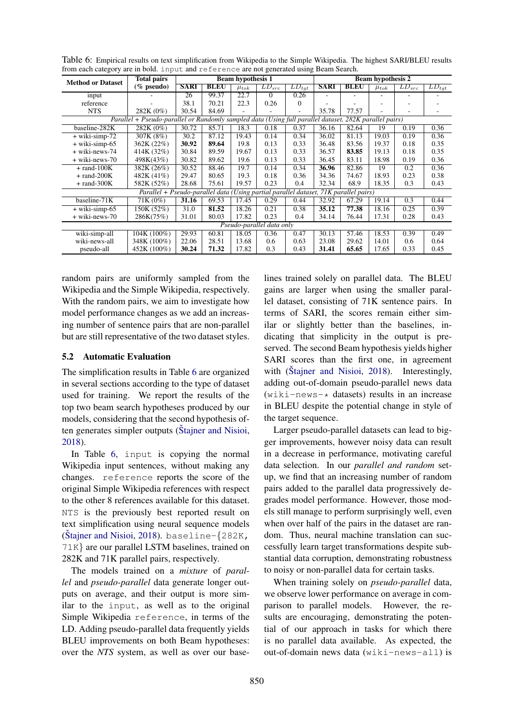| <b>Method or Dataset</b>  | <b>Total pairs</b>                                                                                     |                   |             | <b>Beam hypothesis 1</b> |                       |                       | Beam hypothesis 2 |             |             |                       |                       |
|---------------------------|--------------------------------------------------------------------------------------------------------|-------------------|-------------|--------------------------|-----------------------|-----------------------|-------------------|-------------|-------------|-----------------------|-----------------------|
|                           | (% pseudo)                                                                                             | <b>SARI</b>       | <b>BLEU</b> | $\mu_{tok}$              | $\overline{LD_{src}}$ | $\overline{LD}_{tgt}$ | <b>SARI</b>       | <b>BLEU</b> | $\mu_{tok}$ | $\overline{LD}_{src}$ | $\overline{LD_{tgt}}$ |
| input                     |                                                                                                        | 26                | 99.37       | 22.7                     | 0                     | 0.26                  |                   |             |             |                       |                       |
| reference                 |                                                                                                        | 38.1              | 70.21       | 22.3                     | 0.26                  | $\Omega$              |                   |             |             |                       |                       |
| <b>NTS</b>                | 282K (0%)                                                                                              | 30.54             | 84.69       |                          |                       |                       | 35.78             | 77.57       |             |                       |                       |
|                           | Parallel + Pseudo-parallel or Randomly sampled data (Using full parallel dataset, 282K parallel pairs) |                   |             |                          |                       |                       |                   |             |             |                       |                       |
| baseline-282K             | 282K (0%)                                                                                              | 30.72             | 85.71       | 18.3                     | 0.18                  | 0.37                  | 36.16             | 82.64       | 19          | 0.19                  | 0.36                  |
| + wiki-simp-72            | 307K (8%)                                                                                              | $\overline{30.2}$ | 87.12       | 19.43                    | 0.14                  | 0.34                  | 36.02             | 81.13       | 19.03       | 0.19                  | 0.36                  |
| + wiki-simp-65            | 362K (22%)                                                                                             | 30.92             | 89.64       | 19.8                     | 0.13                  | 0.33                  | 36.48             | 83.56       | 19.37       | 0.18                  | 0.35                  |
| + wiki-news-74            | 414K (32%)                                                                                             | 30.84             | 89.59       | 19.67                    | 0.13                  | 0.33                  | 36.57             | 83.85       | 19.13       | 0.18                  | 0.35                  |
| + wiki-news-70            | 498K(43%)                                                                                              | 30.82             | 89.62       | 19.6                     | 0.13                  | 0.33                  | 36.45             | 83.11       | 18.98       | 0.19                  | 0.36                  |
| $+$ rand-100K             | 382K (26%)                                                                                             | 30.52             | 88.46       | 19.7                     | 0.14                  | 0.34                  | 36.96             | 82.86       | 19          | 0.2                   | 0.36                  |
| $+$ rand-200K             | 482K (41%)                                                                                             | 29.47             | 80.65       | 19.3                     | 0.18                  | 0.36                  | 34.36             | 74.67       | 18.93       | 0.23                  | 0.38                  |
| $+$ rand-300 $K$          | 582K (52%)                                                                                             | 28.68             | 75.61       | 19.57                    | 0.23                  | 0.4                   | 32.34             | 68.9        | 18.35       | 0.3                   | 0.43                  |
|                           | Parallel + Pseudo-parallel data (Using partial parallel dataset, 71K parallel pairs)                   |                   |             |                          |                       |                       |                   |             |             |                       |                       |
| baseline-71K              | 71K (0%)                                                                                               | 31.16             | 69.53       | 17.45                    | 0.29                  | 0.44                  | 32.92             | 67.29       | 19.14       | 0.3                   | 0.44                  |
| $+$ wiki-simp-65          | 150K (52%)                                                                                             | 31.0              | 81.52       | 18.26                    | 0.21                  | 0.38                  | 35.12             | 77.38       | 18.16       | 0.25                  | 0.39                  |
| + wiki-news-70            | 286K(75%)                                                                                              | 31.01             | 80.03       | 17.82                    | 0.23                  | 0.4                   | 34.14             | 76.44       | 17.31       | 0.28                  | 0.43                  |
| Pseudo-parallel data only |                                                                                                        |                   |             |                          |                       |                       |                   |             |             |                       |                       |
| wiki-simp-all             | 104K (100%)                                                                                            | 29.93             | 60.81       | 18.05                    | 0.36                  | 0.47                  | 30.13             | 57.46       | 18.53       | 0.39                  | 0.49                  |
| wiki-news-all             | 348K (100%)                                                                                            | 22.06             | 28.51       | 13.68                    | 0.6                   | 0.63                  | 23.08             | 29.62       | 14.01       | 0.6                   | 0.64                  |
| pseudo-all                | 452K (100%)                                                                                            | 30.24             | 71.32       | 17.82                    | 0.3                   | 0.43                  | 31.41             | 65.65       | 17.65       | 0.33                  | 0.45                  |

<span id="page-6-0"></span>Table 6: Empirical results on text simplification from Wikipedia to the Simple Wikipedia. The highest SARI/BLEU results from each category are in bold. input and reference are not generated using Beam Search.

random pairs are uniformly sampled from the Wikipedia and the Simple Wikipedia, respectively. With the random pairs, we aim to investigate how model performance changes as we add an increasing number of sentence pairs that are non-parallel but are still representative of the two dataset styles.

## 5.2 Automatic Evaluation

The simplification results in Table [6](#page-6-0) are organized in several sections according to the type of dataset used for training. We report the results of the top two beam search hypotheses produced by our models, considering that the second hypothesis of-ten generates simpler outputs [\(Stajner and Nisioi](#page-9-5), [2018\)](#page-9-5).

In Table [6,](#page-6-0) input is copying the normal Wikipedia input sentences, without making any changes. reference reports the score of the original Simple Wikipedia references with respect to the other 8 references available for this dataset. NTS is the previously best reported result on text simplification using neural sequence models [\(Stajner and Nisioi](#page-9-5), [2018\)](#page-9-5). baseline- ${282K$ , 71K} are our parallel LSTM baselines, trained on 282K and 71K parallel pairs, respectively.

The models trained on a *mixture* of *parallel* and *pseudo-parallel* data generate longer outputs on average, and their output is more similar to the input, as well as to the original Simple Wikipedia reference, in terms of the LD. Adding pseudo-parallel data frequently yields BLEU improvements on both Beam hypotheses: over the *NTS* system, as well as over our base-

lines trained solely on parallel data. The BLEU gains are larger when using the smaller parallel dataset, consisting of 71K sentence pairs. In terms of SARI, the scores remain either similar or slightly better than the baselines, indicating that simplicity in the output is preserved. The second Beam hypothesis yields higher SARI scores than the first one, in agreement with  $(\text{Stainer and Nisioi}, 2018)$  $(\text{Stainer and Nisioi}, 2018)$ . Interestingly, adding out-of-domain pseudo-parallel news data  $(wiki-news- $\star$  datasets) results in an increase$ in BLEU despite the potential change in style of the target sequence.

Larger pseudo-parallel datasets can lead to bigger improvements, however noisy data can result in a decrease in performance, motivating careful data selection. In our *parallel and random* setup, we find that an increasing number of random pairs added to the parallel data progressively degrades model performance. However, those models still manage to perform surprisingly well, even when over half of the pairs in the dataset are random. Thus, neural machine translation can successfully learn target transformations despite substantial data corruption, demonstrating robustness to noisy or non-parallel data for certain tasks.

When training solely on *pseudo-parallel* data, we observe lower performance on average in comparison to parallel models. However, the results are encouraging, demonstrating the potential of our approach in tasks for which there is no parallel data available. As expected, the out-of-domain news data (wiki-news-all) is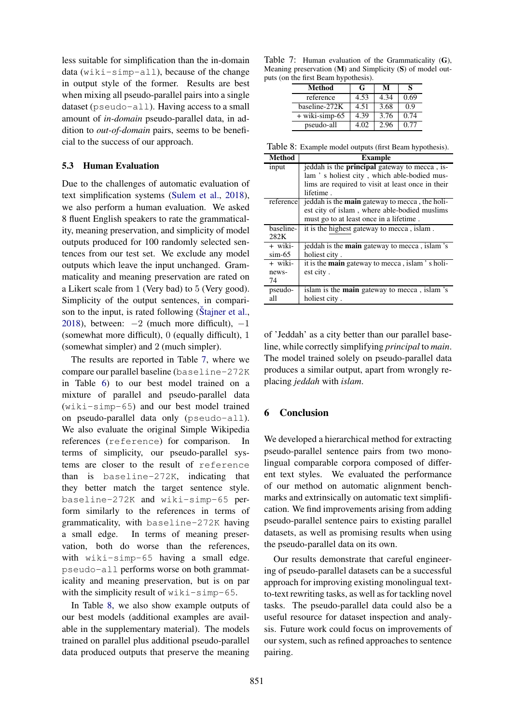less suitable for simplification than the in-domain data (wiki-simp-all), because of the change in output style of the former. Results are best when mixing all pseudo-parallel pairs into a single dataset (pseudo-all). Having access to a small amount of *in-domain* pseudo-parallel data, in addition to *out-of-domain* pairs, seems to be beneficial to the success of our approach.

### 5.3 Human Evaluation

Due to the challenges of automatic evaluation of text simplification systems [\(Sulem et al.,](#page-9-12) [2018\)](#page-9-12), we also perform a human evaluation. We asked 8 fluent English speakers to rate the grammaticality, meaning preservation, and simplicity of model outputs produced for 100 randomly selected sentences from our test set. We exclude any model outputs which leave the input unchanged. Grammaticality and meaning preservation are rated on a Likert scale from 1 (Very bad) to 5 (Very good). Simplicity of the output sentences, in compari-son to the input, is rated following [\(Stajner et al.](#page-9-6), [2018\)](#page-9-6), between:  $-2$  (much more difficult),  $-1$ (somewhat more difficult), 0 (equally difficult), 1 (somewhat simpler) and 2 (much simpler).

The results are reported in Table [7,](#page-7-0) where we compare our parallel baseline (baseline-272K in Table [6\)](#page-6-0) to our best model trained on a mixture of parallel and pseudo-parallel data (wiki-simp-65) and our best model trained on pseudo-parallel data only (pseudo-all). We also evaluate the original Simple Wikipedia references (reference) for comparison. In terms of simplicity, our pseudo-parallel systems are closer to the result of reference than is baseline-272K, indicating that they better match the target sentence style. baseline-272K and wiki-simp-65 perform similarly to the references in terms of grammaticality, with baseline-272K having a small edge. In terms of meaning preservation, both do worse than the references, with wiki-simp-65 having a small edge. pseudo-all performs worse on both grammaticality and meaning preservation, but is on par with the simplicity result of wiki-simp-65.

In Table [8,](#page-7-1) we also show example outputs of our best models (additional examples are available in the supplementary material). The models trained on parallel plus additional pseudo-parallel data produced outputs that preserve the meaning

<span id="page-7-0"></span>Table 7: Human evaluation of the Grammaticality (G), Meaning preservation (M) and Simplicity (S) of model outputs (on the first Beam hypothesis).

| Method           | G    | м    |      |
|------------------|------|------|------|
| reference        | 4.53 | 4.34 | 0.69 |
| baseline-272K    | 4.51 | 3.68 | 0.9  |
| $+$ wiki-simp-65 | 4.39 | 3.76 | 0.74 |
| pseudo-all       |      | 2.96 | በ 77 |

<span id="page-7-1"></span>Table 8: Example model outputs (first Beam hypothesis).

| <b>Method</b> | <b>Example</b>                                        |
|---------------|-------------------------------------------------------|
| input         | jeddah is the <b>principal</b> gateway to mecca, is-  |
|               | lam 's holiest city, which able-bodied mus-           |
|               | lims are required to visit at least once in their     |
|               | lifetime.                                             |
| reference     | jeddah is the main gateway to mecca, the holi-        |
|               | est city of islam, where able-bodied muslims          |
|               | must go to at least once in a lifetime.               |
| baseline-     | it is the highest gateway to mecca, islam.            |
| 282K          |                                                       |
| + wiki-       | jeddah is the main gateway to mecca, islam's          |
| $sim-65$      | holiest city.                                         |
| + wiki-       | it is the <b>main</b> gateway to mecca, islam's holi- |
| news-         | est city.                                             |
| 74            |                                                       |
| pseudo-       | islam is the <b>main</b> gateway to mecca, islam 's   |
| all           | holiest city.                                         |

of 'Jeddah' as a city better than our parallel baseline, while correctly simplifying *principal* to *main*. The model trained solely on pseudo-parallel data produces a similar output, apart from wrongly replacing *jeddah* with *islam*.

# 6 Conclusion

We developed a hierarchical method for extracting pseudo-parallel sentence pairs from two monolingual comparable corpora composed of different text styles. We evaluated the performance of our method on automatic alignment benchmarks and extrinsically on automatic text simplification. We find improvements arising from adding pseudo-parallel sentence pairs to existing parallel datasets, as well as promising results when using the pseudo-parallel data on its own.

Our results demonstrate that careful engineering of pseudo-parallel datasets can be a successful approach for improving existing monolingual textto-text rewriting tasks, as well as for tackling novel tasks. The pseudo-parallel data could also be a useful resource for dataset inspection and analysis. Future work could focus on improvements of our system, such as refined approaches to sentence pairing.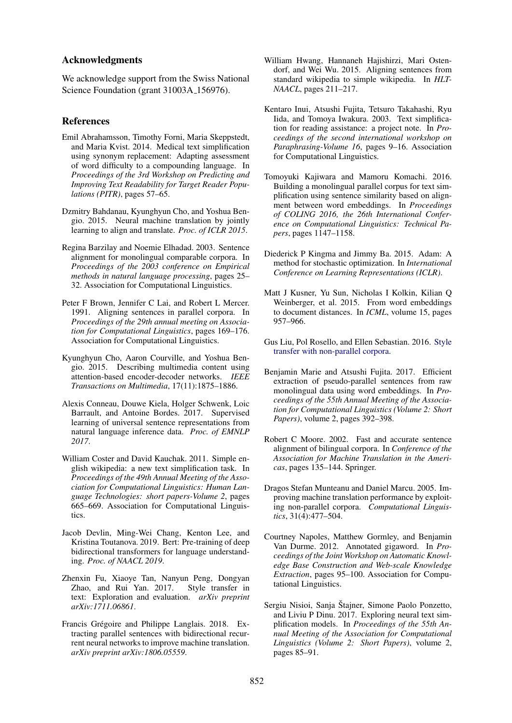### Acknowledgments

We acknowledge support from the Swiss National Science Foundation (grant 31003A<sub>-156976)</sub>.

### References

- <span id="page-8-6"></span>Emil Abrahamsson, Timothy Forni, Maria Skeppstedt, and Maria Kvist. 2014. Medical text simplification using synonym replacement: Adapting assessment of word difficulty to a compounding language. In *Proceedings of the 3rd Workshop on Predicting and Improving Text Readability for Target Reader Populations (PITR)*, pages 57–65.
- <span id="page-8-18"></span>Dzmitry Bahdanau, Kyunghyun Cho, and Yoshua Bengio. 2015. Neural machine translation by jointly learning to align and translate. *Proc. of ICLR 2015*.
- <span id="page-8-13"></span>Regina Barzilay and Noemie Elhadad. 2003. Sentence alignment for monolingual comparable corpora. In *Proceedings of the 2003 conference on Empirical methods in natural language processing*, pages 25– 32. Association for Computational Linguistics.
- <span id="page-8-10"></span>Peter F Brown, Jennifer C Lai, and Robert L Mercer. 1991. Aligning sentences in parallel corpora. In *Proceedings of the 29th annual meeting on Association for Computational Linguistics*, pages 169–176. Association for Computational Linguistics.
- <span id="page-8-17"></span>Kyunghyun Cho, Aaron Courville, and Yoshua Bengio. 2015. Describing multimedia content using attention-based encoder-decoder networks. *IEEE Transactions on Multimedia*, 17(11):1875–1886.
- <span id="page-8-14"></span>Alexis Conneau, Douwe Kiela, Holger Schwenk, Loic Barrault, and Antoine Bordes. 2017. Supervised learning of universal sentence representations from natural language inference data. *Proc. of EMNLP 2017*.
- <span id="page-8-7"></span>William Coster and David Kauchak. 2011. Simple english wikipedia: a new text simplification task. In *Proceedings of the 49th Annual Meeting of the Association for Computational Linguistics: Human Language Technologies: short papers-Volume 2*, pages 665–669. Association for Computational Linguistics.
- <span id="page-8-15"></span>Jacob Devlin, Ming-Wei Chang, Kenton Lee, and Kristina Toutanova. 2019. Bert: Pre-training of deep bidirectional transformers for language understanding. *Proc. of NAACL 2019*.
- <span id="page-8-9"></span>Zhenxin Fu, Xiaoye Tan, Nanyun Peng, Dongyan Zhao, and Rui Yan. 2017. text: Exploration and evaluation. *arXiv preprint arXiv:1711.06861*.
- <span id="page-8-4"></span>Francis Grégoire and Philippe Langlais. 2018. Extracting parallel sentences with bidirectional recurrent neural networks to improve machine translation. *arXiv preprint arXiv:1806.05559*.
- <span id="page-8-12"></span>William Hwang, Hannaneh Hajishirzi, Mari Ostendorf, and Wei Wu. 2015. Aligning sentences from standard wikipedia to simple wikipedia. In *HLT-NAACL*, pages 211–217.
- <span id="page-8-5"></span>Kentaro Inui, Atsushi Fujita, Tetsuro Takahashi, Ryu Iida, and Tomoya Iwakura. 2003. Text simplification for reading assistance: a project note. In *Proceedings of the second international workshop on Paraphrasing-Volume 16*, pages 9–16. Association for Computational Linguistics.
- <span id="page-8-8"></span>Tomoyuki Kajiwara and Mamoru Komachi. 2016. Building a monolingual parallel corpus for text simplification using sentence similarity based on alignment between word embeddings. In *Proceedings of COLING 2016, the 26th International Conference on Computational Linguistics: Technical Papers*, pages 1147–1158.
- <span id="page-8-19"></span>Diederick P Kingma and Jimmy Ba. 2015. Adam: A method for stochastic optimization. In *International Conference on Learning Representations (ICLR)*.
- <span id="page-8-16"></span>Matt J Kusner, Yu Sun, Nicholas I Kolkin, Kilian Q Weinberger, et al. 2015. From word embeddings to document distances. In *ICML*, volume 15, pages 957–966.
- <span id="page-8-2"></span>Gus Liu, Pol Rosello, and Ellen Sebastian. 2016. [Style](http://prosello.com/papers/style-transfer-s16.pdf) [transfer with non-parallel corpora.](http://prosello.com/papers/style-transfer-s16.pdf)
- <span id="page-8-3"></span>Benjamin Marie and Atsushi Fujita. 2017. Efficient extraction of pseudo-parallel sentences from raw monolingual data using word embeddings. In *Proceedings of the 55th Annual Meeting of the Association for Computational Linguistics (Volume 2: Short Papers)*, volume 2, pages 392–398.
- <span id="page-8-11"></span>Robert C Moore. 2002. Fast and accurate sentence alignment of bilingual corpora. In *Conference of the Association for Machine Translation in the Americas*, pages 135–144. Springer.
- <span id="page-8-0"></span>Dragos Stefan Munteanu and Daniel Marcu. 2005. Improving machine translation performance by exploiting non-parallel corpora. *Computational Linguistics*, 31(4):477–504.
- <span id="page-8-20"></span>Courtney Napoles, Matthew Gormley, and Benjamin Van Durme. 2012. Annotated gigaword. In *Proceedings of the Joint Workshop on Automatic Knowledge Base Construction and Web-scale Knowledge Extraction*, pages 95–100. Association for Computational Linguistics.
- <span id="page-8-1"></span>Sergiu Nisioi, Sanja Štajner, Simone Paolo Ponzetto, and Liviu P Dinu. 2017. Exploring neural text simplification models. In *Proceedings of the 55th Annual Meeting of the Association for Computational Linguistics (Volume 2: Short Papers)*, volume 2, pages 85–91.